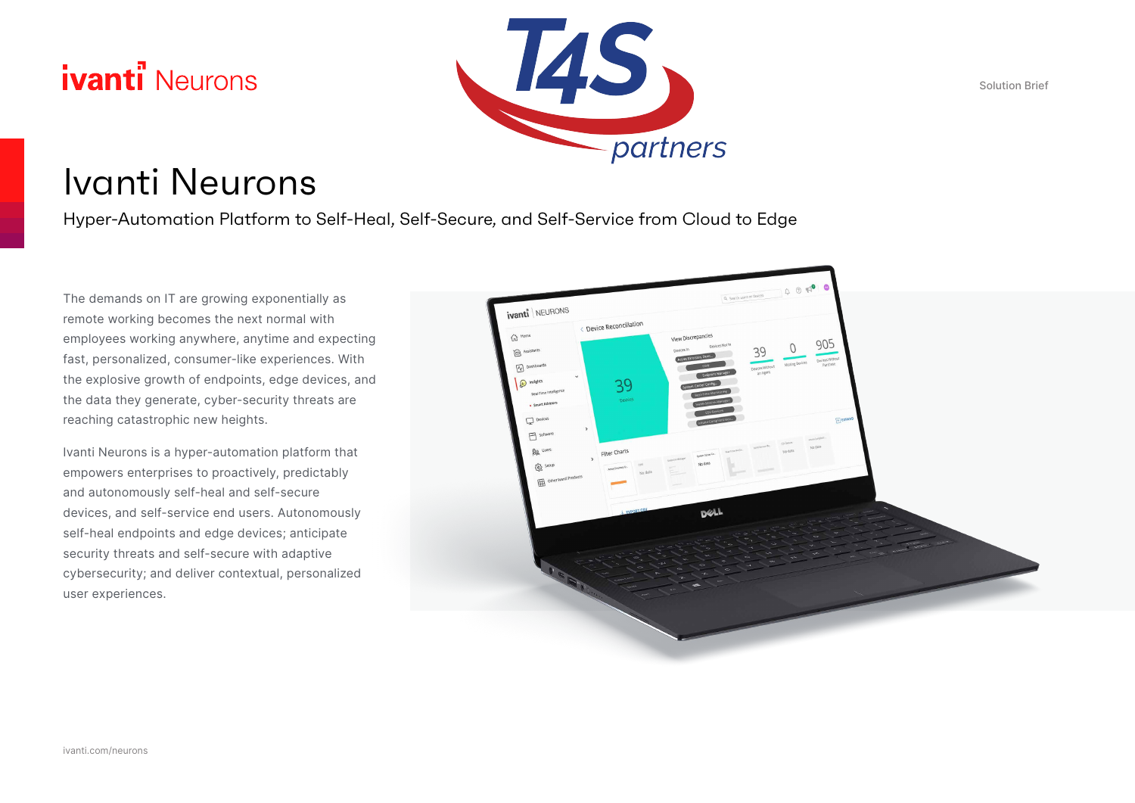# **ivanti** Neurons



Solution Brief

# Ivanti Neurons

Hyper-Automation Platform to Self-Heal, Self-Secure, and Self-Service from Cloud to Edge

The demands on IT are growing exponentially as remote working becomes the next normal with employees working anywhere, anytime and expecting fast, personalized, consumer-like experiences. With the explosive growth of endpoints, edge devices, and the data they generate, cyber-security threats are reaching catastrophic new heights.

Ivanti Neurons is a hyper-automation platform that empowers enterprises to proactively, predictably and autonomously self-heal and self-secure devices, and self-service end users. Autonomously self-heal endpoints and edge devices; anticipate security threats and self-secure with adaptive cybersecurity; and deliver contextual, personalized user experiences.

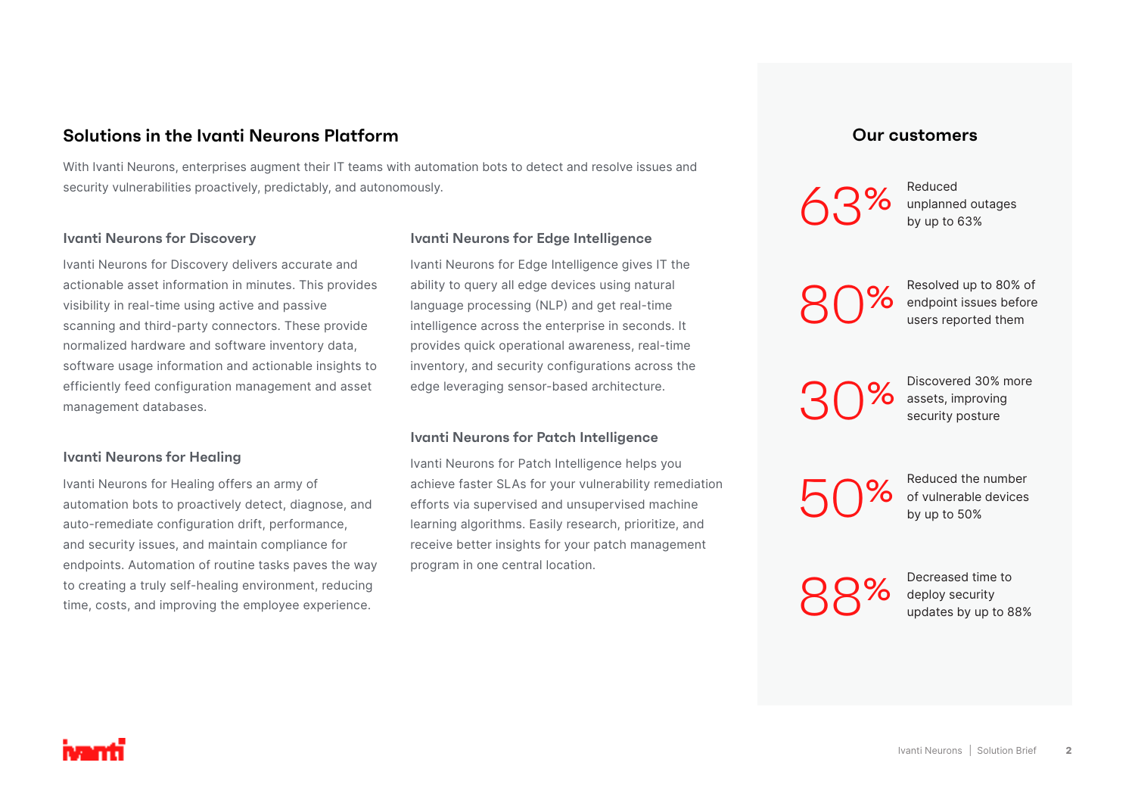# **Solutions in the Ivanti Neurons Platform**

With Ivanti Neurons, enterprises augment their IT teams with automation bots to detect and resolve issues and security vulnerabilities proactively, predictably, and autonomously.

### **Ivanti Neurons for Discovery**

Ivanti Neurons for Discovery delivers accurate and actionable asset information in minutes. This provides visibility in real-time using active and passive scanning and third-party connectors. These provide normalized hardware and software inventory data, software usage information and actionable insights to efficiently feed configuration management and asset management databases.

#### **Ivanti Neurons for Healing**

Ivanti Neurons for Healing offers an army of automation bots to proactively detect, diagnose, and auto-remediate configuration drift, performance, and security issues, and maintain compliance for endpoints. Automation of routine tasks paves the way to creating a truly self-healing environment, reducing time, costs, and improving the employee experience.

#### **Ivanti Neurons for Edge Intelligence**

Ivanti Neurons for Edge Intelligence gives IT the ability to query all edge devices using natural language processing (NLP) and get real-time intelligence across the enterprise in seconds. It provides quick operational awareness, real-time inventory, and security configurations across the edge leveraging sensor-based architecture.

#### **Ivanti Neurons for Patch Intelligence**

Ivanti Neurons for Patch Intelligence helps you achieve faster SLAs for your vulnerability remediation efforts via supervised and unsupervised machine learning algorithms. Easily research, prioritize, and receive better insights for your patch management program in one central location.

### **Our customers**

63%

Reduced unplanned outages by up to 63%

80%

Resolved up to 80% of endpoint issues before users reported them

30%

Discovered 30% more assets, improving security posture

50%

Reduced the number of vulnerable devices by up to 50%

88%

Decreased time to deploy security updates by up to 88%